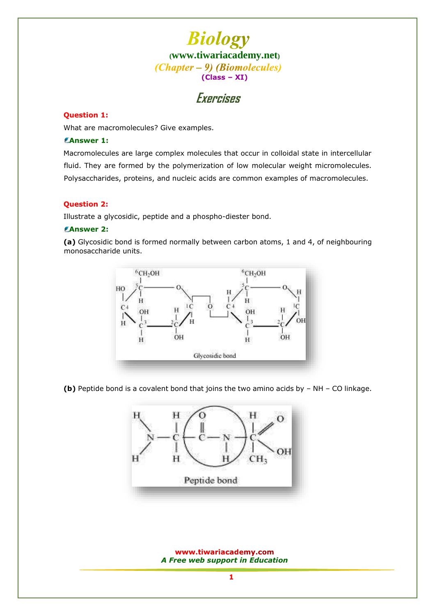

### **Exercises**

### **Question 1:**

What are macromolecules? Give examples.

### **Answer 1:**

Macromolecules are large complex molecules that occur in colloidal state in intercellular fluid. They are formed by the polymerization of low molecular weight micromolecules. Polysaccharides, proteins, and nucleic acids are common examples of macromolecules.

### **Question 2:**

Illustrate a glycosidic, peptide and a phospho-diester bond.

### **Answer 2:**

**(a)** Glycosidic bond is formed normally between carbon atoms, 1 and 4, of neighbouring monosaccharide units.



**(b)** Peptide bond is a covalent bond that joins the two amino acids by – NH – CO linkage.

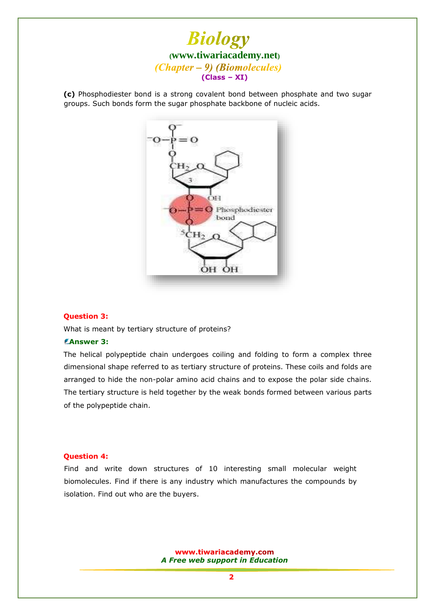

**(c)** Phosphodiester bond is a strong covalent bond between phosphate and two sugar groups. Such bonds form the sugar phosphate backbone of nucleic acids.



### **Question 3:**

What is meant by tertiary structure of proteins?

### **Answer 3:**

The helical polypeptide chain undergoes coiling and folding to form a complex three dimensional shape referred to as tertiary structure of proteins. These coils and folds are arranged to hide the non-polar amino acid chains and to expose the polar side chains. The tertiary structure is held together by the weak bonds formed between various parts of the polypeptide chain.

#### **Question 4:**

Find and write down structures of 10 interesting small molecular weight biomolecules. Find if there is any industry which manufactures the compounds by isolation. Find out who are the buyers.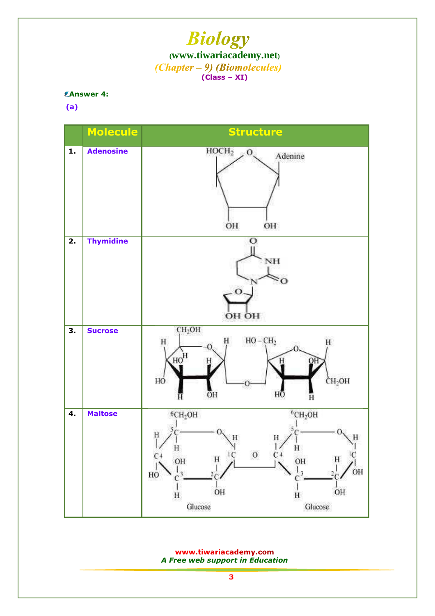### **Answer 4:**

**(a)**



www.tiwariacademy.com *A Free web support in Education*

**3**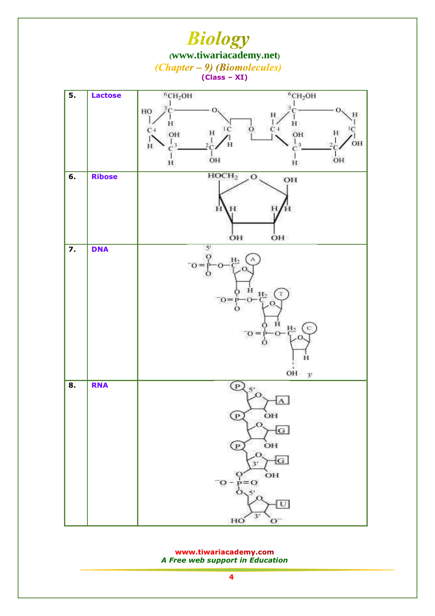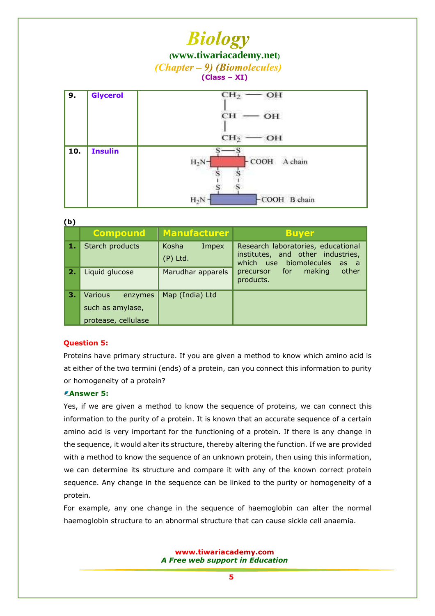## **Biology**

**([www.tiwariacademy.net](http://www.tiwariacademy.net/))**

 $(Chapter - 9)$  (Biomolecules)

### **(Class – XI)**

| 9.  | <b>Glycerol</b> | CH <sub>2</sub><br>OH<br>acco<br>CН<br>OH |  |  |
|-----|-----------------|-------------------------------------------|--|--|
|     |                 | CH <sub>2</sub><br>OH                     |  |  |
| 10. | <b>Insulin</b>  | $H_2N-$<br>соон<br>A chain                |  |  |
|     |                 | $H_2N$<br>$-COOH$<br><b>B</b> chain       |  |  |

**(b)**

| , ט |                                         |                              |                                                                                                           |
|-----|-----------------------------------------|------------------------------|-----------------------------------------------------------------------------------------------------------|
|     | <b>Compound</b>                         | <b>Manufacturer</b>          | <b>Buyer</b>                                                                                              |
| 1.  | Starch products                         | Kosha<br>Impex<br>$(P)$ Ltd. | Research laboratories, educational<br>institutes, and other industries,<br>which use biomolecules<br>as a |
| 2.  | Liquid glucose                          | Marudhar apparels            | other<br>precursor for<br>making<br>products.                                                             |
| 3.  | <b>Various</b><br>enzymes               | Map (India) Ltd              |                                                                                                           |
|     | such as amylase,<br>protease, cellulase |                              |                                                                                                           |

### **Question 5:**

Proteins have primary structure. If you are given a method to know which amino acid is at either of the two termini (ends) of a protein, can you connect this information to purity or homogeneity of a protein?

### **Answer 5:**

Yes, if we are given a method to know the sequence of proteins, we can connect this information to the purity of a protein. It is known that an accurate sequence of a certain amino acid is very important for the functioning of a protein. If there is any change in the sequence, it would alter its structure, thereby altering the function. If we are provided with a method to know the sequence of an unknown protein, then using this information, we can determine its structure and compare it with any of the known correct protein sequence. Any change in the sequence can be linked to the purity or homogeneity of a protein.

For example, any one change in the sequence of haemoglobin can alter the normal haemoglobin structure to an abnormal structure that can cause sickle cell anaemia.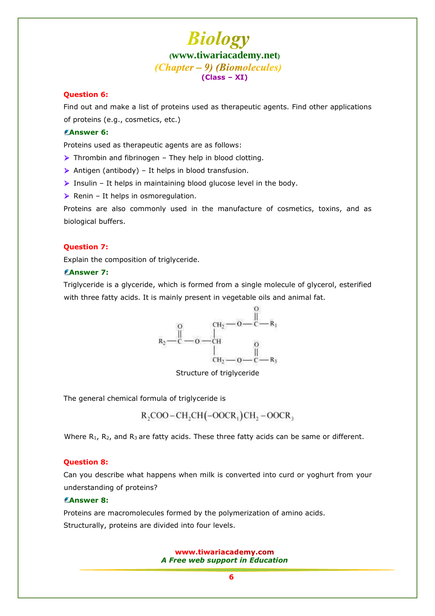### **Question 6:**

Find out and make a list of proteins used as therapeutic agents. Find other applications of proteins (e.g., cosmetics, etc.)

### **Answer 6:**

Proteins used as therapeutic agents are as follows:

- $\triangleright$  Thrombin and fibrinogen They help in blood clotting.
- $\triangleright$  Antigen (antibody) It helps in blood transfusion.
- $\triangleright$  Insulin It helps in maintaining blood glucose level in the body.
- $\triangleright$  Renin It helps in osmoregulation.

Proteins are also commonly used in the manufacture of cosmetics, toxins, and as biological buffers.

### **Question 7:**

Explain the composition of triglyceride.

### **Answer 7:**

Triglyceride is a glyceride, which is formed from a single molecule of glycerol, esterified with three fatty acids. It is mainly present in vegetable oils and animal fat.



[Structure of triglyceride](www.tiwariacademy.net)

The general chemical formula of triglyceride is

 $R, COO-CH, CH(-OOCR<sub>1</sub>)CH, -OOCR<sub>3</sub>$ 

Where  $R_1$ ,  $R_2$ , and  $R_3$  are fatty acids. These three fatty acids can be same or different.

#### **Question 8:**

Can you describe what happens when milk is converted into curd or yoghurt from your understanding of proteins?

### **Answer 8:**

Proteins are macromolecules formed by the polymerization of amino acids. Structurally, proteins are divided into four levels.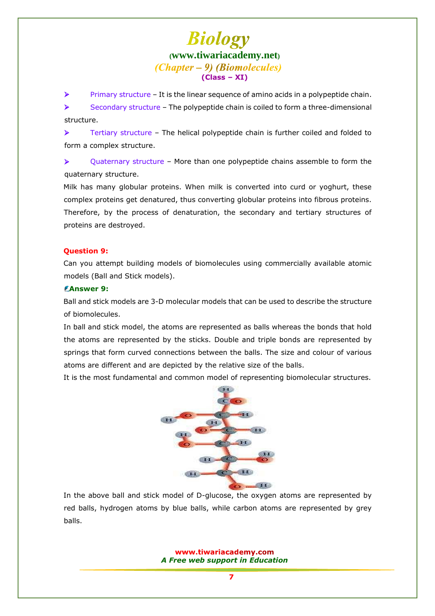$\triangleright$  Primary structure – It is the linear sequence of amino acids in a polypeptide chain.

 Secondary structure – The polypeptide chain is coiled to form a three-dimensional structure.

 $\triangleright$  Tertiary structure – The helical polypeptide chain is further coiled and folded to form a complex structure.

 $\triangleright$  Quaternary structure – More than one polypeptide chains assemble to form the quaternary structure.

Milk has many globular proteins. When milk is converted into curd or yoghurt, these complex proteins get denatured, thus converting globular proteins into fibrous proteins. Therefore, by the process of denaturation, the secondary and tertiary structures of proteins are destroyed.

### **Question 9:**

Can you attempt building models of biomolecules using commercially available atomic models (Ball and Stick models).

### **Answer 9:**

Ball and stick models are 3-D molecular models that can be used to describe the structure of biomolecules.

In ball and stick model, the atoms are represented as balls whereas the bonds that hold the atoms are represented by the sticks. Double and triple bonds are represented by springs that form curved connections between the balls. The size and colour of various atoms are different and are depicted by the relative size of the balls.

It is the most fundamental and common model of representing biomolecular structures.



In the above ball and stick model of D-glucose, the oxygen atoms are represented by red balls, hydrogen atoms by blue balls, while carbon atoms are represented by grey balls.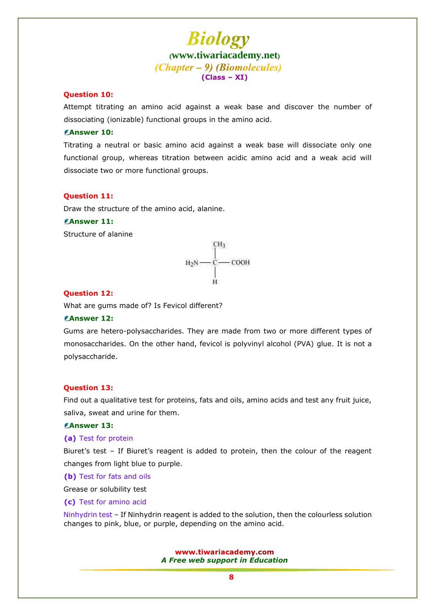### **Question 10:**

Attempt titrating an amino acid against a weak base and discover the number of dissociating (ionizable) functional groups in the amino acid.

### **Answer 10:**

Titrating a neutral or basic amino acid against a weak base will dissociate only one functional group, whereas titration between acidic amino acid and a weak acid will dissociate two or more functional groups.

### **Question 11:**

Draw the structure of the amino acid, alanine.

### **Answer 11:**

Structure of alanine



#### **Question 12:**

What are gums made of? Is Fevicol different?

### **Answer 12:**

Gums are hetero-polysaccharides. They are made from two or more different types of monosaccharides. On the other hand, fevicol is polyvinyl alcohol (PVA) glue. It is not a polysaccharide.

### **Question 13:**

Find out a qualitative test for proteins, fats and oils, amino acids and test any fruit juice, saliva, sweat and urine for them.

#### **Answer 13:**

**(a)** Test for protein

Biuret's test – If Biuret's reagent is added to protein, then the colour of the reagent changes from light blue to purple.

**(b)** Test for fats and oils

Grease or solubility test

**(c)** Test for amino acid

Ninhydrin test – If Ninhydrin reagent is added to the solution, then the colourless solution changes to pink, blue, or purple, depending on the amino acid.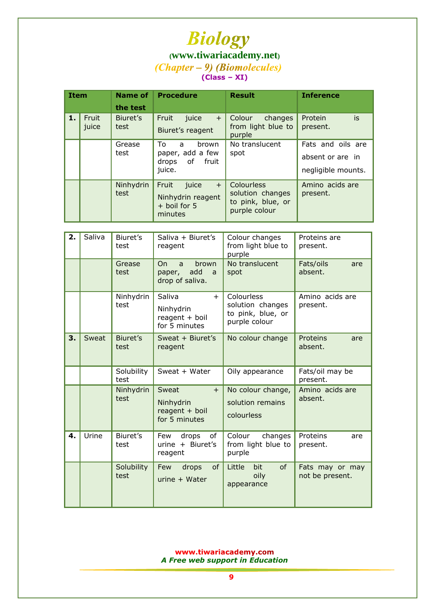# **([www.tiwariacademy.net](http://www.tiwariacademy.net/))** (Chapter – 9) (Biomolecules)

**(Class – XI)**

| <b>Item</b> |                | <b>Name of</b><br>the test | <b>Procedure</b>                                                        | <b>Result</b>                                                        | <b>Inference</b>                                            |
|-------------|----------------|----------------------------|-------------------------------------------------------------------------|----------------------------------------------------------------------|-------------------------------------------------------------|
| 1.          | Fruit<br>juice | Biuret's<br>test           | Fruit<br>juice<br>$+$<br>Biuret's reagent                               | Colour<br>changes<br>from light blue to<br>purple                    | is<br>Protein<br>present.                                   |
|             |                | Grease<br>test             | Τo<br><b>brown</b><br>a<br>paper, add a few<br>drops of fruit<br>juice. | No translucent<br>spot                                               | Fats and oils are<br>absent or are in<br>negligible mounts. |
|             |                | Ninhydrin<br>test          | Fruit<br>juice<br>$+$<br>Ninhydrin reagent<br>+ boil for 5<br>minutes   | Colourless<br>solution changes<br>to pink, blue, or<br>purple colour | Amino acids are<br>present.                                 |

| 2. | Saliva | Biuret's<br>test   | Saliva + Biuret's<br>reagent                                          | Colour changes<br>from light blue to<br>purple                       | Proteins are<br>present.           |
|----|--------|--------------------|-----------------------------------------------------------------------|----------------------------------------------------------------------|------------------------------------|
|    |        | Grease<br>test     | O <sub>n</sub><br>brown<br>a<br>add<br>paper,<br>a<br>drop of saliva. | No translucent<br>spot                                               | Fats/oils<br>are<br>absent.        |
|    |        | Ninhydrin<br>test  | Saliva<br>$+$<br>Ninhydrin<br>$reagent + boil$<br>for 5 minutes       | Colourless<br>solution changes<br>to pink, blue, or<br>purple colour | Amino acids are<br>present.        |
| 3. | Sweat  | Biuret's<br>test   | Sweat + Biuret's<br>reagent                                           | No colour change                                                     | Proteins<br>are<br>absent.         |
|    |        | Solubility<br>test | Sweat + Water                                                         | Oily appearance                                                      | Fats/oil may be<br>present.        |
|    |        | Ninhydrin<br>test  | Sweat<br>$+$<br>Ninhydrin<br>$reagent + boil$<br>for 5 minutes        | No colour change,<br>solution remains<br>colourless                  | Amino acids are<br>absent.         |
| 4. | Urine  | Biuret's<br>test   | drops<br>Few<br>0f<br>urine + Biuret's<br>reagent                     | Colour<br>changes<br>from light blue to<br>purple                    | Proteins<br>are<br>present.        |
|    |        | Solubility<br>test | Few<br>of<br>drops<br>$urine + Water$                                 | of<br>Little<br>bit<br>oily<br>appearance                            | Fats may or may<br>not be present. |

*A Free web support in Education*